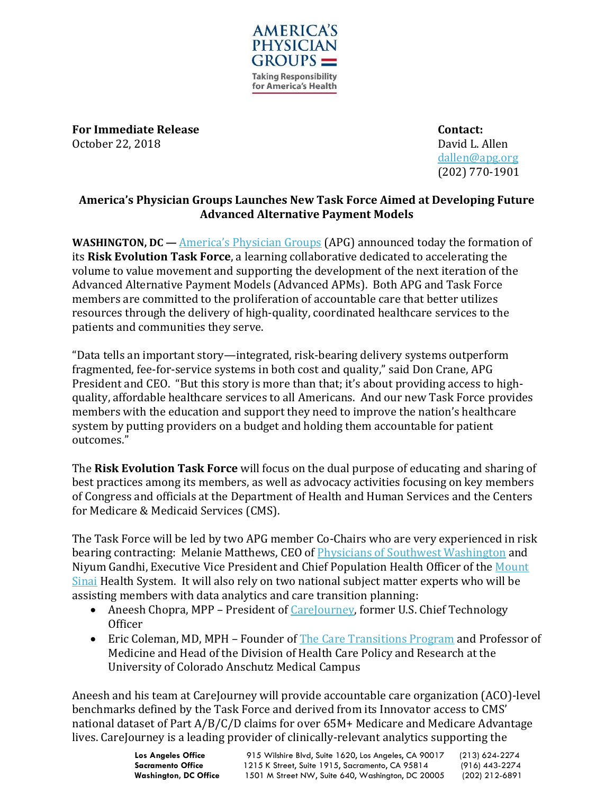

**For Immediate Release Contact:** October 22, 2018 David L. Allen

[dallen@apg.org](mailto:dallen@apg.org) (202) 770-1901

## **America's Physician Groups Launches New Task Force Aimed at Developing Future Advanced Alternative Payment Models**

**WASHINGTON, DC** — [America's Physician Groups](http://www.apg.org/) (APG) announced today the formation of its **Risk Evolution Task Force**, a learning collaborative dedicated to accelerating the volume to value movement and supporting the development of the next iteration of the Advanced Alternative Payment Models (Advanced APMs). Both APG and Task Force members are committed to the proliferation of accountable care that better utilizes resources through the delivery of high-quality, coordinated healthcare services to the patients and communities they serve.

"Data tells an important story—integrated, risk-bearing delivery systems outperform fragmented, fee-for-service systems in both cost and quality," said Don Crane, APG President and CEO. "But this story is more than that; it's about providing access to highquality, affordable healthcare services to all Americans. And our new Task Force provides members with the education and support they need to improve the nation's healthcare system by putting providers on a budget and holding them accountable for patient outcomes."

The **Risk Evolution Task Force** will focus on the dual purpose of educating and sharing of best practices among its members, as well as advocacy activities focusing on key members of Congress and officials at the Department of Health and Human Services and the Centers for Medicare & Medicaid Services (CMS).

The Task Force will be led by two APG member Co-Chairs who are very experienced in risk bearing contracting: Melanie Matthews, CEO of [Physicians of Southwest Washington](http://www.pswipa.com/our-story/) and Niyum Gandhi, Executive Vice President and Chief Population Health Officer of the Mount [Sinai](https://www.mountsinai.org/about/leadership/niyum-gandhi) Health System. It will also rely on two national subject matter experts who will be assisting members with data analytics and care transition planning:

- Aneesh Chopra, MPP President of [CareJourney,](https://carejourney.com/) former U.S. Chief Technology **Officer**
- Eric Coleman, MD, MPH Founder of **The Care Transitions Program** and Professor of Medicine and Head of the Division of Health Care Policy and Research at the University of Colorado Anschutz Medical Campus

Aneesh and his team at CareJourney will provide accountable care organization (ACO)-level benchmarks defined by the Task Force and derived from its Innovator access to CMS' national dataset of Part A/B/C/D claims for over 65M+ Medicare and Medicare Advantage lives. CareJourney is a leading provider of clinically-relevant analytics supporting the